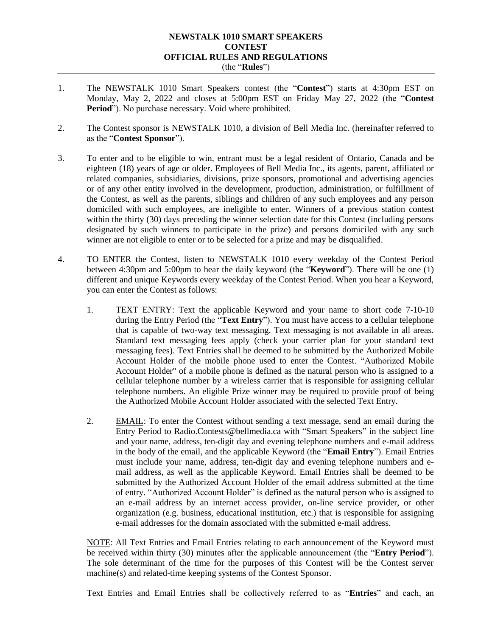## **NEWSTALK 1010 SMART SPEAKERS CONTEST OFFICIAL RULES AND REGULATIONS** (the "**Rules**")

- 1. The NEWSTALK 1010 Smart Speakers contest (the "**Contest**") starts at 4:30pm EST on Monday, May 2, 2022 and closes at 5:00pm EST on Friday May 27, 2022 (the "**Contest Period**"). No purchase necessary. Void where prohibited.
- 2. The Contest sponsor is NEWSTALK 1010, a division of Bell Media Inc. (hereinafter referred to as the "**Contest Sponsor**").
- 3. To enter and to be eligible to win, entrant must be a legal resident of Ontario, Canada and be eighteen (18) years of age or older. Employees of Bell Media Inc., its agents, parent, affiliated or related companies, subsidiaries, divisions, prize sponsors, promotional and advertising agencies or of any other entity involved in the development, production, administration, or fulfillment of the Contest, as well as the parents, siblings and children of any such employees and any person domiciled with such employees, are ineligible to enter. Winners of a previous station contest within the thirty (30) days preceding the winner selection date for this Contest (including persons designated by such winners to participate in the prize) and persons domiciled with any such winner are not eligible to enter or to be selected for a prize and may be disqualified.
- 4. TO ENTER the Contest, listen to NEWSTALK 1010 every weekday of the Contest Period between 4:30pm and 5:00pm to hear the daily keyword (the "**Keyword**"). There will be one (1) different and unique Keywords every weekday of the Contest Period. When you hear a Keyword, you can enter the Contest as follows:
	- 1. TEXT ENTRY: Text the applicable Keyword and your name to short code 7-10-10 during the Entry Period (the "**Text Entry**"). You must have access to a cellular telephone that is capable of two-way text messaging. Text messaging is not available in all areas. Standard text messaging fees apply (check your carrier plan for your standard text messaging fees). Text Entries shall be deemed to be submitted by the Authorized Mobile Account Holder of the mobile phone used to enter the Contest. "Authorized Mobile Account Holder" of a mobile phone is defined as the natural person who is assigned to a cellular telephone number by a wireless carrier that is responsible for assigning cellular telephone numbers. An eligible Prize winner may be required to provide proof of being the Authorized Mobile Account Holder associated with the selected Text Entry.
	- 2. EMAIL: To enter the Contest without sending a text message, send an email during the Entry Period to Radio.Contests@bellmedia.ca with "Smart Speakers" in the subject line and your name, address, ten-digit day and evening telephone numbers and e-mail address in the body of the email, and the applicable Keyword (the "**Email Entry**"). Email Entries must include your name, address, ten-digit day and evening telephone numbers and email address, as well as the applicable Keyword. Email Entries shall be deemed to be submitted by the Authorized Account Holder of the email address submitted at the time of entry. "Authorized Account Holder" is defined as the natural person who is assigned to an e-mail address by an internet access provider, on-line service provider, or other organization (e.g. business, educational institution, etc.) that is responsible for assigning e-mail addresses for the domain associated with the submitted e-mail address.

NOTE: All Text Entries and Email Entries relating to each announcement of the Keyword must be received within thirty (30) minutes after the applicable announcement (the "**Entry Period**"). The sole determinant of the time for the purposes of this Contest will be the Contest server machine(s) and related-time keeping systems of the Contest Sponsor.

Text Entries and Email Entries shall be collectively referred to as "**Entries**" and each, an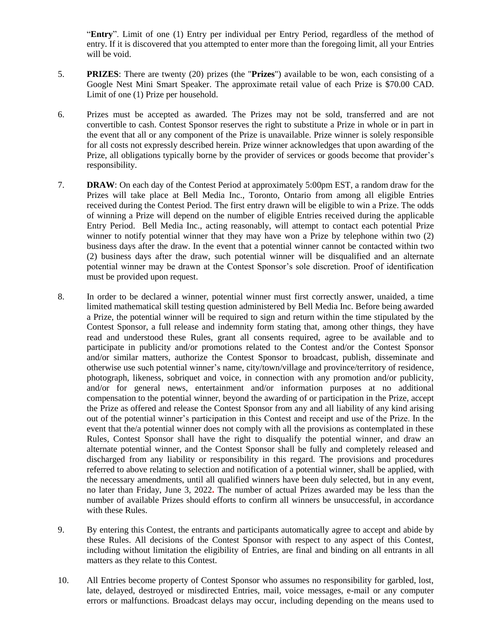"**Entry**". Limit of one (1) Entry per individual per Entry Period, regardless of the method of entry. If it is discovered that you attempted to enter more than the foregoing limit, all your Entries will be void.

- 5. **PRIZES**: There are twenty (20) prizes (the "**Prizes**") available to be won, each consisting of a Google Nest Mini Smart Speaker. The approximate retail value of each Prize is \$70.00 CAD. Limit of one (1) Prize per household.
- 6. Prizes must be accepted as awarded. The Prizes may not be sold, transferred and are not convertible to cash. Contest Sponsor reserves the right to substitute a Prize in whole or in part in the event that all or any component of the Prize is unavailable. Prize winner is solely responsible for all costs not expressly described herein. Prize winner acknowledges that upon awarding of the Prize, all obligations typically borne by the provider of services or goods become that provider's responsibility.
- 7. **DRAW**: On each day of the Contest Period at approximately 5:00pm EST, a random draw for the Prizes will take place at Bell Media Inc., Toronto, Ontario from among all eligible Entries received during the Contest Period. The first entry drawn will be eligible to win a Prize. The odds of winning a Prize will depend on the number of eligible Entries received during the applicable Entry Period. Bell Media Inc., acting reasonably, will attempt to contact each potential Prize winner to notify potential winner that they may have won a Prize by telephone within two (2) business days after the draw. In the event that a potential winner cannot be contacted within two (2) business days after the draw, such potential winner will be disqualified and an alternate potential winner may be drawn at the Contest Sponsor's sole discretion. Proof of identification must be provided upon request.
- 8. In order to be declared a winner, potential winner must first correctly answer, unaided, a time limited mathematical skill testing question administered by Bell Media Inc. Before being awarded a Prize, the potential winner will be required to sign and return within the time stipulated by the Contest Sponsor, a full release and indemnity form stating that, among other things, they have read and understood these Rules, grant all consents required, agree to be available and to participate in publicity and/or promotions related to the Contest and/or the Contest Sponsor and/or similar matters, authorize the Contest Sponsor to broadcast, publish, disseminate and otherwise use such potential winner's name, city/town/village and province/territory of residence, photograph, likeness, sobriquet and voice, in connection with any promotion and/or publicity, and/or for general news, entertainment and/or information purposes at no additional compensation to the potential winner, beyond the awarding of or participation in the Prize, accept the Prize as offered and release the Contest Sponsor from any and all liability of any kind arising out of the potential winner's participation in this Contest and receipt and use of the Prize. In the event that the/a potential winner does not comply with all the provisions as contemplated in these Rules, Contest Sponsor shall have the right to disqualify the potential winner, and draw an alternate potential winner, and the Contest Sponsor shall be fully and completely released and discharged from any liability or responsibility in this regard. The provisions and procedures referred to above relating to selection and notification of a potential winner, shall be applied, with the necessary amendments, until all qualified winners have been duly selected, but in any event, no later than Friday, June 3, 2022**.** The number of actual Prizes awarded may be less than the number of available Prizes should efforts to confirm all winners be unsuccessful, in accordance with these Rules.
- 9. By entering this Contest, the entrants and participants automatically agree to accept and abide by these Rules. All decisions of the Contest Sponsor with respect to any aspect of this Contest, including without limitation the eligibility of Entries, are final and binding on all entrants in all matters as they relate to this Contest.
- 10. All Entries become property of Contest Sponsor who assumes no responsibility for garbled, lost, late, delayed, destroyed or misdirected Entries, mail, voice messages, e-mail or any computer errors or malfunctions. Broadcast delays may occur, including depending on the means used to